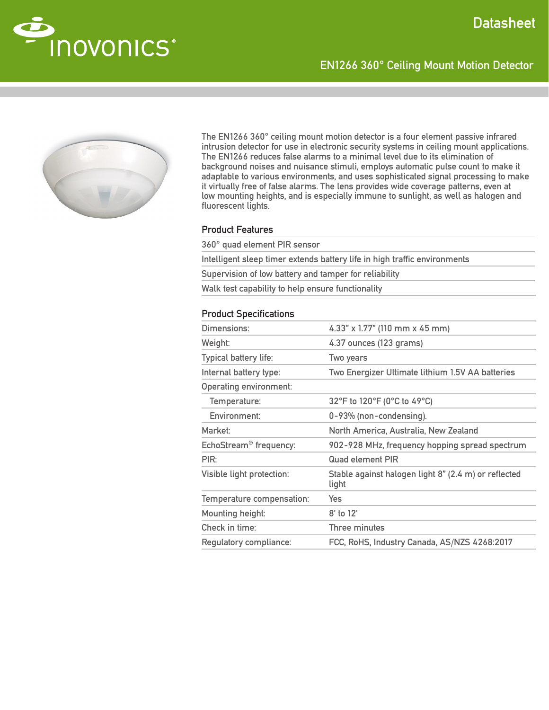

The EN1266 360° ceiling mount motion detector is a four element passive infrared intrusion detector for use in electronic security systems in ceiling mount applications. The EN1266 reduces false alarms to a minimal level due to its elimination of background noises and nuisance stimuli, employs automatic pulse count to make it adaptable to various environments, and uses sophisticated signal processing to make it virtually free of false alarms. The lens provides wide coverage patterns, even at low mounting heights, and is especially immune to sunlight, as well as halogen and fluorescent lights.

EN1266 360° Ceiling Mount Motion Detector

## Product Features

360° quad element PIR sensor Intelligent sleep timer extends battery life in high traffic environments Supervision of low battery and tamper for reliability Walk test capability to help ensure functionality

### Product Specifications

| Dimensions:                        | 4.33" x 1.77" (110 mm x 45 mm)                                |
|------------------------------------|---------------------------------------------------------------|
| Weight:                            | 4.37 ounces (123 grams)                                       |
| Typical battery life:              | Two years                                                     |
| Internal battery type:             | Two Energizer Ultimate lithium 1.5V AA batteries              |
| Operating environment:             |                                                               |
| Temperature:                       | 32°F to 120°F (0°C to 49°C)                                   |
| Environment:                       | 0-93% (non-condensing).                                       |
| Market:                            | North America, Australia, New Zealand                         |
| EchoStream <sup>®</sup> frequency: | 902-928 MHz, frequency hopping spread spectrum                |
| PIR:                               | <b>Quad element PIR</b>                                       |
| Visible light protection:          | Stable against halogen light 8" (2.4 m) or reflected<br>light |
| Temperature compensation:          | Yes                                                           |
| Mounting height:                   | 8' to 12'                                                     |
| Check in time:                     | Three minutes                                                 |
| Regulatory compliance:             | FCC, RoHS, Industry Canada, AS/NZS 4268:2017                  |
|                                    |                                                               |